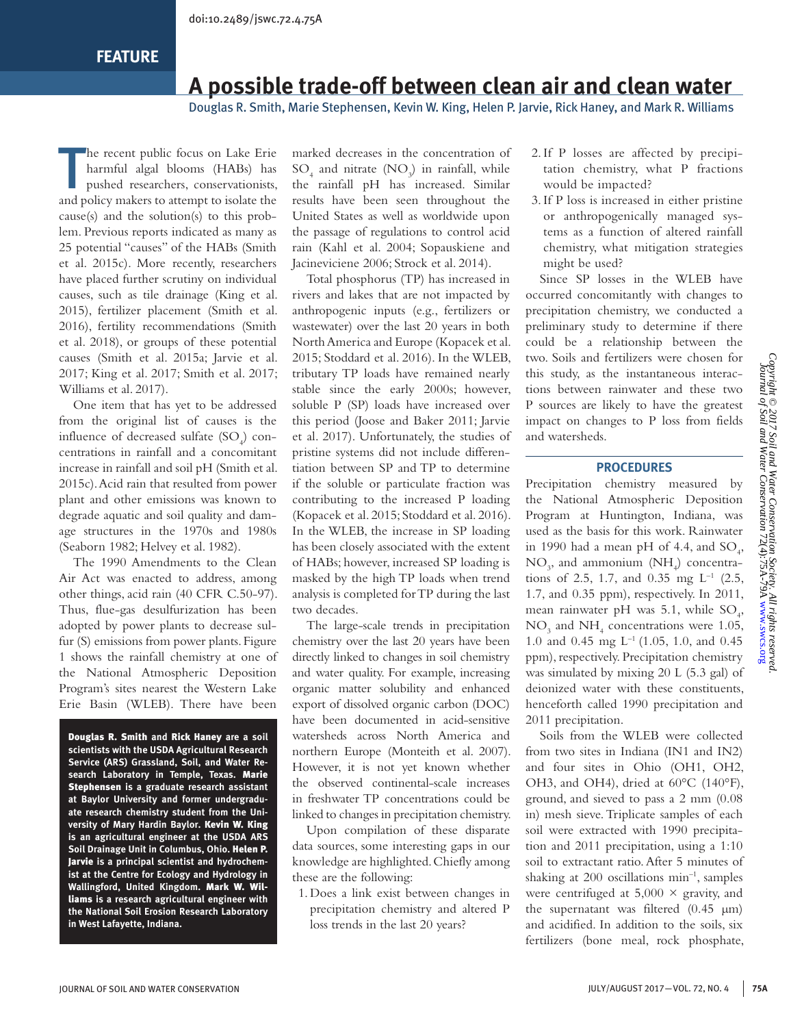# **A possible trade-off between clean air and clean water**

Douglas R. Smith, Marie Stephensen, Kevin W. King, Helen P. Jarvie, Rick Haney, and Mark R. Williams

T he recent public focus on Lake Erie harmful algal blooms (HABs) has pushed researchers, conservationists, and policy makers to attempt to isolate the cause(s) and the solution(s) to this problem. Previous reports indicated as many as 25 potential "causes" of the HABs (Smith et al. 2015c). More recently, researchers have placed further scrutiny on individual causes, such as tile drainage (King et al. 2015), fertilizer placement (Smith et al. 2016), fertility recommendations (Smith et al. 2018), or groups of these potential causes (Smith et al. 2015a; Jarvie et al. 2017; King et al. 2017; Smith et al. 2017; Williams et al. 2017).

One item that has yet to be addressed from the original list of causes is the influence of decreased sulfate  $(SO<sub>4</sub>)$  concentrations in rainfall and a concomitant increase in rainfall and soil pH (Smith et al. 2015c). Acid rain that resulted from power plant and other emissions was known to degrade aquatic and soil quality and damage structures in the 1970s and 1980s (Seaborn 1982; Helvey et al. 1982).

The 1990 Amendments to the Clean Air Act was enacted to address, among other things, acid rain (40 CFR C.50-97). Thus, flue-gas desulfurization has been adopted by power plants to decrease sulfur (S) emissions from power plants. Figure 1 shows the rainfall chemistry at one of the National Atmospheric Deposition Program's sites nearest the Western Lake Erie Basin (WLEB). There have been

Douglas R. Smith **and** Rick Haney **are a soil scientists with the USDA Agricultural Research Service (ARS) Grassland, Soil, and Water Research Laboratory in Temple, Texas.** Marie Stephensen **is a graduate research assistant at Baylor University and former undergraduate research chemistry student from the University of Mary Hardin Baylor.** Kevin W. King **is an agricultural engineer at the USDA ARS Soil Drainage Unit in Columbus, Ohio.** Helen P. Jarvie **is a principal scientist and hydrochemist at the Centre for Ecology and Hydrology in Wallingford, United Kingdom.** Mark W. Williams **is a research agricultural engineer with the National Soil Erosion Research Laboratory in West Lafayette, Indiana.**

marked decreases in the concentration of  $SO_4$  and nitrate (NO<sub>3</sub>) in rainfall, while the rainfall pH has increased. Similar results have been seen throughout the United States as well as worldwide upon the passage of regulations to control acid rain (Kahl et al. 2004; Sopauskiene and Jacineviciene 2006; Strock et al. 2014).

Total phosphorus (TP) has increased in rivers and lakes that are not impacted by anthropogenic inputs (e.g., fertilizers or wastewater) over the last 20 years in both North America and Europe (Kopacek et al. 2015; Stoddard et al. 2016). In the WLEB, tributary TP loads have remained nearly stable since the early 2000s; however, soluble P (SP) loads have increased over this period (Joose and Baker 2011; Jarvie et al. 2017). Unfortunately, the studies of pristine systems did not include differentiation between SP and TP to determine if the soluble or particulate fraction was contributing to the increased P loading (Kopacek et al. 2015; Stoddard et al. 2016). In the WLEB, the increase in SP loading has been closely associated with the extent of HABs; however, increased SP loading is masked by the high TP loads when trend analysis is completed for TP during the last two decades.

The large-scale trends in precipitation chemistry over the last 20 years have been directly linked to changes in soil chemistry and water quality. For example, increasing organic matter solubility and enhanced export of dissolved organic carbon (DOC) have been documented in acid-sensitive watersheds across North America and northern Europe (Monteith et al. 2007). However, it is not yet known whether the observed continental-scale increases in freshwater TP concentrations could be linked to changes in precipitation chemistry.

Upon compilation of these disparate data sources, some interesting gaps in our knowledge are highlighted. Chiefly among these are the following:

1.Does a link exist between changes in precipitation chemistry and altered P loss trends in the last 20 years?

- 2.If P losses are affected by precipitation chemistry, what P fractions would be impacted?
- 3.If P loss is increased in either pristine or anthropogenically managed systems as a function of altered rainfall chemistry, what mitigation strategies might be used?

Since SP losses in the WLEB have occurred concomitantly with changes to precipitation chemistry, we conducted a preliminary study to determine if there could be a relationship between the two. Soils and fertilizers were chosen for this study, as the instantaneous interactions between rainwater and these two P sources are likely to have the greatest impact on changes to P loss from fields and watersheds.

#### **PROCEDURES**

Precipitation chemistry measured by the National Atmospheric Deposition Program at Huntington, Indiana, was used as the basis for this work. Rainwater in 1990 had a mean pH of 4.4, and  $SO_4$ ,  $NO_3$ , and ammonium  $(NH_4)$  concentrations of 2.5, 1.7, and 0.35 mg  $L^{-1}$  (2.5, 1.7, and 0.35 ppm), respectively. In 2011, mean rainwater pH was 5.1, while  $SO_4$ ,  $NO<sub>3</sub>$  and  $NH<sub>4</sub>$  concentrations were 1.05, 1.0 and 0.45 mg L–1 (1.05, 1.0, and 0.45 ppm), respectively. Precipitation chemistry was simulated by mixing 20 L (5.3 gal) of deionized water with these constituents, henceforth called 1990 precipitation and 2011 precipitation.

Soils from the WLEB were collected from two sites in Indiana (IN1 and IN2) and four sites in Ohio (OH1, OH2, OH3, and OH4), dried at 60°C (140°F), ground, and sieved to pass a 2 mm (0.08 in) mesh sieve. Triplicate samples of each soil were extracted with 1990 precipitation and 2011 precipitation, using a 1:10 soil to extractant ratio. After 5 minutes of shaking at  $200$  oscillations min<sup>-1</sup>, samples were centrifuged at  $5,000 \times$  gravity, and the supernatant was filtered (0.45 µm) and acidified. In addition to the soils, six fertilizers (bone meal, rock phosphate,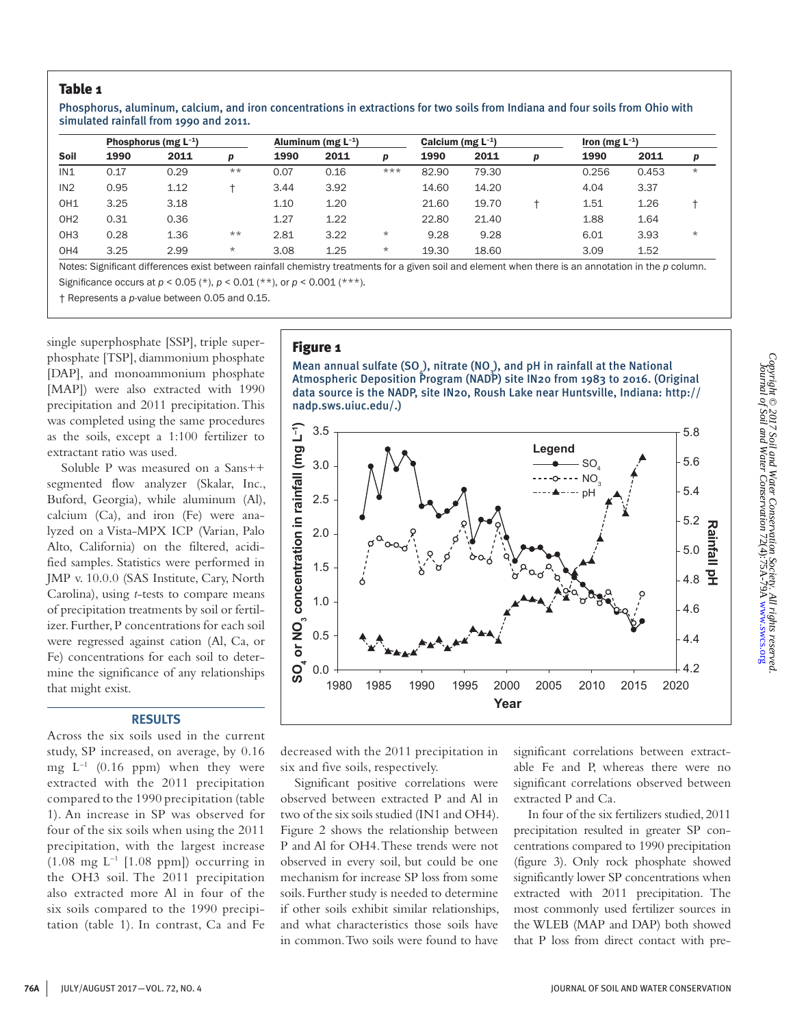### Table 1

Phosphorus, aluminum, calcium, and iron concentrations in extractions for two soils from Indiana and four soils from Ohio with simulated rainfall from 1990 and 2011.

|                 | Phosphorus (mg $L^{-1}$ ) |      |         |      | Aluminum (mg $L^{-1}$ ) |         |       | Calcium (mg $L^{-1}$ ) |   |       | Iron (mg $L^{-1}$ ) |         |  |
|-----------------|---------------------------|------|---------|------|-------------------------|---------|-------|------------------------|---|-------|---------------------|---------|--|
| Soil            | 1990                      | 2011 | D       | 1990 | 2011                    | D       | 1990  | 2011                   | p | 1990  | 2011                | p       |  |
| IN1             | 0.17                      | 0.29 | $***$   | 0.07 | 0.16                    | ***     | 82.90 | 79.30                  |   | 0.256 | 0.453               | $\star$ |  |
| IN2             | 0.95                      | 1.12 |         | 3.44 | 3.92                    |         | 14.60 | 14.20                  |   | 4.04  | 3.37                |         |  |
| OH <sub>1</sub> | 3.25                      | 3.18 |         | 1.10 | 1.20                    |         | 21.60 | 19.70                  |   | 1.51  | 1.26                |         |  |
| OH <sub>2</sub> | 0.31                      | 0.36 |         | 1.27 | 1.22                    |         | 22.80 | 21.40                  |   | 1.88  | 1.64                |         |  |
| OH <sub>3</sub> | 0.28                      | 1.36 | $***$   | 2.81 | 3.22                    | $\star$ | 9.28  | 9.28                   |   | 6.01  | 3.93                | $\star$ |  |
| OH4             | 3.25                      | 2.99 | $\star$ | 3.08 | 1.25                    | $\star$ | 19.30 | 18.60                  |   | 3.09  | 1.52                |         |  |

Notes: Significant differences exist between rainfall chemistry treatments for a given soil and element when there is an annotation in the *p* column. Significance occurs at *p* < 0.05 (\*), *p* < 0.01 (\*\*), or *p* < 0.001 (\*\*\*).

† Represents a *p*-value between 0.05 and 0.15.

single superphosphate [SSP], triple superphosphate [TSP], diammonium phosphate [DAP], and monoammonium phosphate [MAP]) were also extracted with 1990 precipitation and 2011 precipitation. This was completed using the same procedures as the soils, except a 1:100 fertilizer to extractant ratio was used.

Soluble P was measured on a Sans++ segmented flow analyzer (Skalar, Inc., Buford, Georgia), while aluminum (Al), calcium (Ca), and iron (Fe) were analyzed on a Vista-MPX ICP (Varian, Palo Alto, California) on the filtered, acidified samples. Statistics were performed in JMP v. 10.0.0 (SAS Institute, Cary, North Carolina), using *t*-tests to compare means of precipitation treatments by soil or fertilizer. Further, P concentrations for each soil were regressed against cation (Al, Ca, or Fe) concentrations for each soil to determine the significance of any relationships that might exist.

### **RESULTS**

Across the six soils used in the current study, SP increased, on average, by 0.16 mg  $L^{-1}$  (0.16 ppm) when they were extracted with the 2011 precipitation compared to the 1990 precipitation (table 1). An increase in SP was observed for four of the six soils when using the 2011 precipitation, with the largest increase  $(1.08 \text{ mg } L^{-1}$  [1.08 ppm]) occurring in the OH3 soil. The 2011 precipitation also extracted more Al in four of the six soils compared to the 1990 precipitation (table 1). In contrast, Ca and Fe

#### Figure 1

Mean annual sulfate (SO<sub>4</sub>), nitrate (NO<sub>3</sub>), and pH in rainfall at the National Atmospheric Deposition Program (NADP) site IN20 from 1983 to 2016. (Original data source is the NADP, site IN20, Roush Lake near Huntsville, Indiana: http:// nadp.sws.uiuc.edu/.)



decreased with the 2011 precipitation in six and five soils, respectively.

Significant positive correlations were observed between extracted P and Al in two of the six soils studied (IN1 and OH4). Figure 2 shows the relationship between P and Al for OH4. These trends were not observed in every soil, but could be one mechanism for increase SP loss from some soils. Further study is needed to determine if other soils exhibit similar relationships, and what characteristics those soils have in common. Two soils were found to have

significant correlations between extractable Fe and P, whereas there were no significant correlations observed between extracted P and Ca.

In four of the six fertilizers studied, 2011 precipitation resulted in greater SP concentrations compared to 1990 precipitation (figure 3). Only rock phosphate showed significantly lower SP concentrations when extracted with 2011 precipitation. The most commonly used fertilizer sources in the WLEB (MAP and DAP) both showed that P loss from direct contact with pre-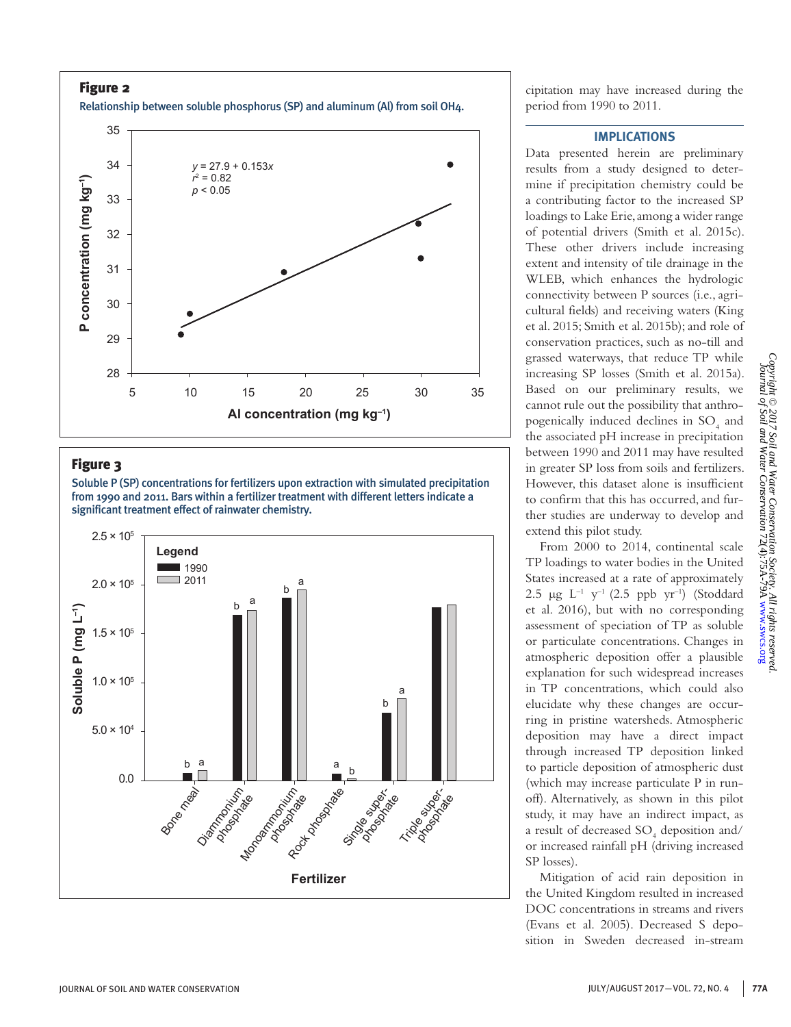Figure 2 Relationship between soluble phosphorus (SP) and aluminum (Al) from soil OH4.



## Figure 3

Soluble P (SP) concentrations for fertilizers upon extraction with simulated precipitation from 1990 and 2011. Bars within a fertilizer treatment with different letters indicate a significant treatment effect of rainwater chemistry.



cipitation may have increased during the period from 1990 to 2011.

### **IMPLICATIONS**

Data presented herein are preliminary results from a study designed to determine if precipitation chemistry could be a contributing factor to the increased SP loadings to Lake Erie, among a wider range of potential drivers (Smith et al. 2015c). These other drivers include increasing extent and intensity of tile drainage in the WLEB, which enhances the hydrologic connectivity between P sources (i.e., agricultural fields) and receiving waters (King et al. 2015; Smith et al. 2015b); and role of conservation practices, such as no-till and grassed waterways, that reduce TP while increasing SP losses (Smith et al. 2015a). Based on our preliminary results, we cannot rule out the possibility that anthropogenically induced declines in  $SO_4$  and the associated pH increase in precipitation between 1990 and 2011 may have resulted in greater SP loss from soils and fertilizers. However, this dataset alone is insufficient to confirm that this has occurred, and further studies are underway to develop and extend this pilot study.

From 2000 to 2014, continental scale TP loadings to water bodies in the United States increased at a rate of approximately 2.5  $\mu$ g L<sup>-1</sup> y<sup>-1</sup> (2.5 ppb yr<sup>-1</sup>) (Stoddard et al. 2016), but with no corresponding assessment of speciation of TP as soluble or particulate concentrations. Changes in atmospheric deposition offer a plausible explanation for such widespread increases in TP concentrations, which could also elucidate why these changes are occurring in pristine watersheds. Atmospheric deposition may have a direct impact through increased TP deposition linked to particle deposition of atmospheric dust (which may increase particulate P in runoff). Alternatively, as shown in this pilot study, it may have an indirect impact, as a result of decreased  $\text{SO}_4$  deposition and/ or increased rainfall pH (driving increased SP losses).

Mitigation of acid rain deposition in the United Kingdom resulted in increased DOC concentrations in streams and rivers (Evans et al. 2005). Decreased S deposition in Sweden decreased in-stream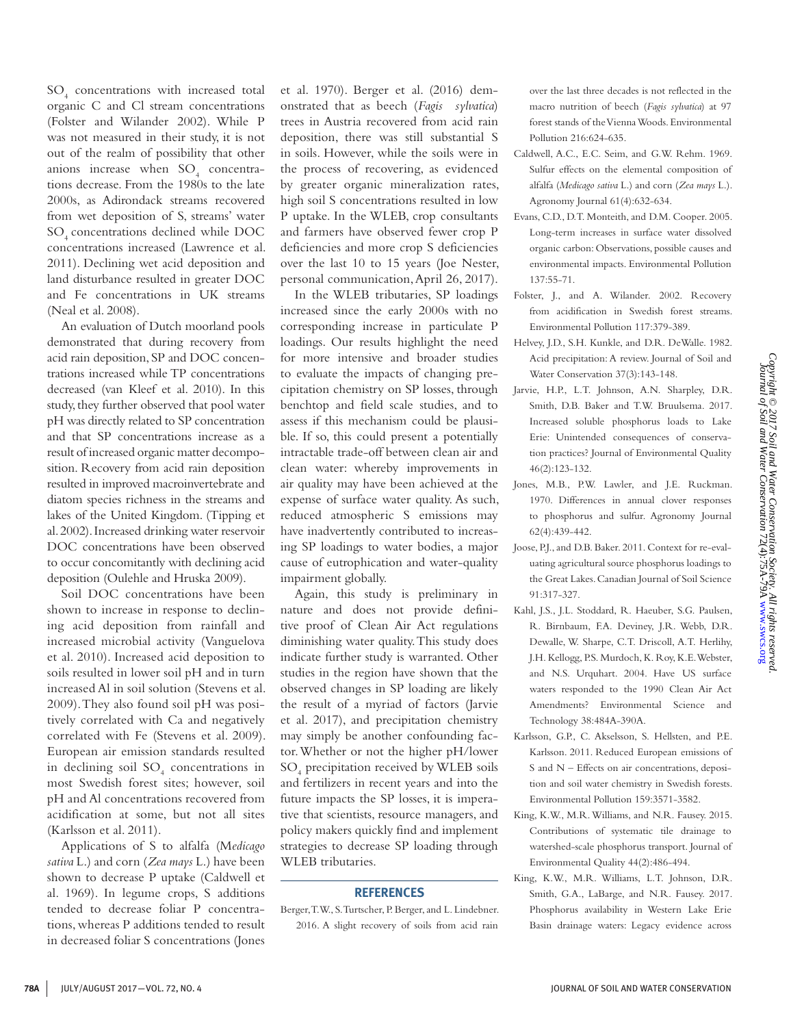SO4 concentrations with increased total organic C and Cl stream concentrations (Folster and Wilander 2002). While P was not measured in their study, it is not out of the realm of possibility that other anions increase when  $SO_4$  concentrations decrease. From the 1980s to the late 2000s, as Adirondack streams recovered from wet deposition of S, streams' water SO<sub>4</sub> concentrations declined while DOC concentrations increased (Lawrence et al. 2011). Declining wet acid deposition and land disturbance resulted in greater DOC and Fe concentrations in UK streams (Neal et al. 2008).

An evaluation of Dutch moorland pools demonstrated that during recovery from acid rain deposition, SP and DOC concentrations increased while TP concentrations decreased (van Kleef et al. 2010). In this study, they further observed that pool water pH was directly related to SP concentration and that SP concentrations increase as a result of increased organic matter decomposition. Recovery from acid rain deposition resulted in improved macroinvertebrate and diatom species richness in the streams and lakes of the United Kingdom. (Tipping et al. 2002). Increased drinking water reservoir DOC concentrations have been observed to occur concomitantly with declining acid deposition (Oulehle and Hruska 2009).

Soil DOC concentrations have been shown to increase in response to declining acid deposition from rainfall and increased microbial activity (Vanguelova et al. 2010). Increased acid deposition to soils resulted in lower soil pH and in turn increased Al in soil solution (Stevens et al. 2009). They also found soil pH was positively correlated with Ca and negatively correlated with Fe (Stevens et al. 2009). European air emission standards resulted in declining soil  ${SO_4}$  concentrations in most Swedish forest sites; however, soil pH and Al concentrations recovered from acidification at some, but not all sites (Karlsson et al. 2011).

Applications of S to alfalfa (M*edicago sativa* L.) and corn (*Zea mays* L.) have been shown to decrease P uptake (Caldwell et al. 1969). In legume crops, S additions tended to decrease foliar P concentrations, whereas P additions tended to result in decreased foliar S concentrations (Jones

et al. 1970). Berger et al. (2016) demonstrated that as beech (*Fagis sylvatica*) trees in Austria recovered from acid rain deposition, there was still substantial S in soils. However, while the soils were in the process of recovering, as evidenced by greater organic mineralization rates, high soil S concentrations resulted in low P uptake. In the WLEB, crop consultants and farmers have observed fewer crop P deficiencies and more crop S deficiencies over the last 10 to 15 years (Joe Nester, personal communication, April 26, 2017).

In the WLEB tributaries, SP loadings increased since the early 2000s with no corresponding increase in particulate P loadings. Our results highlight the need for more intensive and broader studies to evaluate the impacts of changing precipitation chemistry on SP losses, through benchtop and field scale studies, and to assess if this mechanism could be plausible. If so, this could present a potentially intractable trade-off between clean air and clean water: whereby improvements in air quality may have been achieved at the expense of surface water quality. As such, reduced atmospheric S emissions may have inadvertently contributed to increasing SP loadings to water bodies, a major cause of eutrophication and water-quality impairment globally.

Again, this study is preliminary in nature and does not provide definitive proof of Clean Air Act regulations diminishing water quality. This study does indicate further study is warranted. Other studies in the region have shown that the observed changes in SP loading are likely the result of a myriad of factors (Jarvie et al. 2017), and precipitation chemistry may simply be another confounding factor. Whether or not the higher pH/lower SO4 precipitation received by WLEB soils and fertilizers in recent years and into the future impacts the SP losses, it is imperative that scientists, resource managers, and policy makers quickly find and implement strategies to decrease SP loading through WLEB tributaries.

#### **REFERENCES**

Berger, T.W., S. Turtscher, P. Berger, and L. Lindebner. 2016. A slight recovery of soils from acid rain

over the last three decades is not reflected in the macro nutrition of beech (*Fagis sylvatica*) at 97 forest stands of the Vienna Woods. Environmental Pollution 216:624-635.

- Caldwell, A.C., E.C. Seim, and G.W. Rehm. 1969. Sulfur effects on the elemental composition of alfalfa (*Medicago sativa* L.) and corn (*Zea mays* L.). Agronomy Journal 61(4):632-634.
- Evans, C.D., D.T. Monteith, and D.M. Cooper. 2005. Long-term increases in surface water dissolved organic carbon: Observations, possible causes and environmental impacts. Environmental Pollution 137:55-71.
- Folster, J., and A. Wilander. 2002. Recovery from acidification in Swedish forest streams. Environmental Pollution 117:379-389.
- Helvey, J.D., S.H. Kunkle, and D.R. DeWalle. 1982. Acid precipitation: A review. Journal of Soil and Water Conservation 37(3):143-148.
- Jarvie, H.P., L.T. Johnson, A.N. Sharpley, D.R. Smith, D.B. Baker and T.W. Bruulsema. 2017. Increased soluble phosphorus loads to Lake Erie: Unintended consequences of conservation practices? Journal of Environmental Quality 46(2):123-132.
- Jones, M.B., P.W. Lawler, and J.E. Ruckman. 1970. Differences in annual clover responses to phosphorus and sulfur. Agronomy Journal 62(4):439-442.
- Joose, P.J., and D.B. Baker. 2011. Context for re-evaluating agricultural source phosphorus loadings to the Great Lakes. Canadian Journal of Soil Science 91:317-327.
- Kahl, J.S., J.L. Stoddard, R. Haeuber, S.G. Paulsen, R. Birnbaum, F.A. Deviney, J.R. Webb, D.R. Dewalle, W. Sharpe, C.T. Driscoll, A.T. Herlihy, J.H. Kellogg, P.S. Murdoch, K. Roy, K.E. Webster, and N.S. Urquhart. 2004. Have US surface waters responded to the 1990 Clean Air Act Amendments? Environmental Science and Technology 38:484A-390A.
- Karlsson, G.P., C. Akselsson, S. Hellsten, and P.E. Karlsson. 2011. Reduced European emissions of S and N – Effects on air concentrations, deposition and soil water chemistry in Swedish forests. Environmental Pollution 159:3571-3582.
- King, K.W., M.R. Williams, and N.R. Fausey. 2015. Contributions of systematic tile drainage to watershed-scale phosphorus transport. Journal of Environmental Quality 44(2):486-494.
- King, K.W., M.R. Williams, L.T. Johnson, D.R. Smith, G.A., LaBarge, and N.R. Fausey. 2017. Phosphorus availability in Western Lake Erie Basin drainage waters: Legacy evidence across